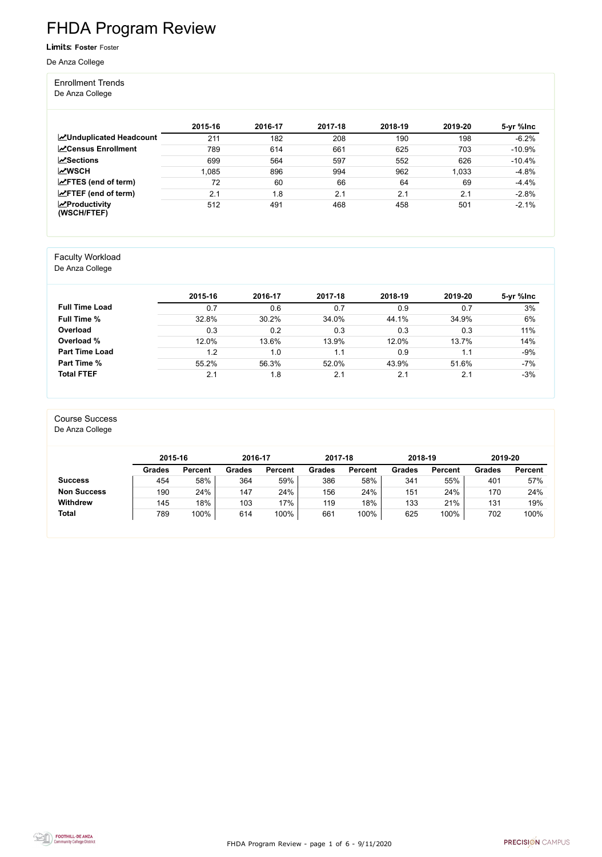FHDA Program Review - page 1 of 6 - 9/11/2020



# FHDA Program Review

#### Limits: **Foster** Foster

De Anza College

#### Enrollment Trends

De Anza College

|                                                  | 2015-16 | 2016-17 | 2017-18 | 2018-19 | 2019-20 | 5-yr %lnc |
|--------------------------------------------------|---------|---------|---------|---------|---------|-----------|
| <b>ZUnduplicated Headcount</b>                   | 211     | 182     | 208     | 190     | 198     | $-6.2%$   |
| <b>ZCensus Enrollment</b>                        | 789     | 614     | 661     | 625     | 703     | $-10.9%$  |
| <b>∠Sections</b>                                 | 699     | 564     | 597     | 552     | 626     | $-10.4%$  |
| <b>MWSCH</b>                                     | .085    | 896     | 994     | 962     | 1,033   | $-4.8%$   |
| $\angle$ FTES (end of term)                      | 72      | 60      | 66      | 64      | 69      | $-4.4%$   |
| $\angle$ FTEF (end of term)                      | 2.1     | . 8     | 2.1     | 2.1     | 2.1     | $-2.8%$   |
| $\sqrt{\frac{1}{2}}$ Productivity<br>(WSCH/FTEF) | 512     | 491     | 468     | 458     | 501     | $-2.1%$   |

#### Faculty Workload

De Anza College

|                       | 2015-16 | 2016-17 | 2017-18 | 2018-19 | 2019-20 | 5-yr %lnc |
|-----------------------|---------|---------|---------|---------|---------|-----------|
| <b>Full Time Load</b> | 0.7     | 0.6     | 0.7     | 0.9     | 0.7     | 3%        |
| <b>Full Time %</b>    | 32.8%   | 30.2%   | 34.0%   | 44.1%   | 34.9%   | 6%        |
| Overload              | 0.3     | 0.2     | 0.3     | 0.3     | 0.3     | 11%       |
| Overload %            | 12.0%   | 13.6%   | 13.9%   | 12.0%   | 13.7%   | 14%       |
| <b>Part Time Load</b> | 1.2     | 1.0     | 1.1     | 0.9     | 1.1     | $-9%$     |
| Part Time %           | 55.2%   | 56.3%   | 52.0%   | 43.9%   | 51.6%   | $-7%$     |
| <b>Total FTEF</b>     | 2.1     | 1.8     | 2.1     | 2.1     | 2.1     | $-3%$     |

#### Course Success

De Anza College

|                    | 2015-16       |                | 2016-17       |                | 2017-18       |                | 2018-19       |                | 2019-20       |                |
|--------------------|---------------|----------------|---------------|----------------|---------------|----------------|---------------|----------------|---------------|----------------|
|                    | <b>Grades</b> | <b>Percent</b> | <b>Grades</b> | <b>Percent</b> | <b>Grades</b> | <b>Percent</b> | <b>Grades</b> | <b>Percent</b> | <b>Grades</b> | <b>Percent</b> |
| <b>Success</b>     | 454           | 58%            | 364           | 59%            | 386           | 58%            | 341           | 55%            | 401           | 57%            |
| <b>Non Success</b> | 190           | 24%            | 147           | 24%            | 156           | 24%            | 151           | 24%            | 170           | 24%            |
| <b>Withdrew</b>    | 145           | 18%            | 103           | 17%            | 119           | 18%            | 133           | 21%            | 131           | 19%            |
| <b>Total</b>       | 789           | 100%           | 614           | 100%           | 661           | 100%           | 625           | 100%           | 702           | 100%           |

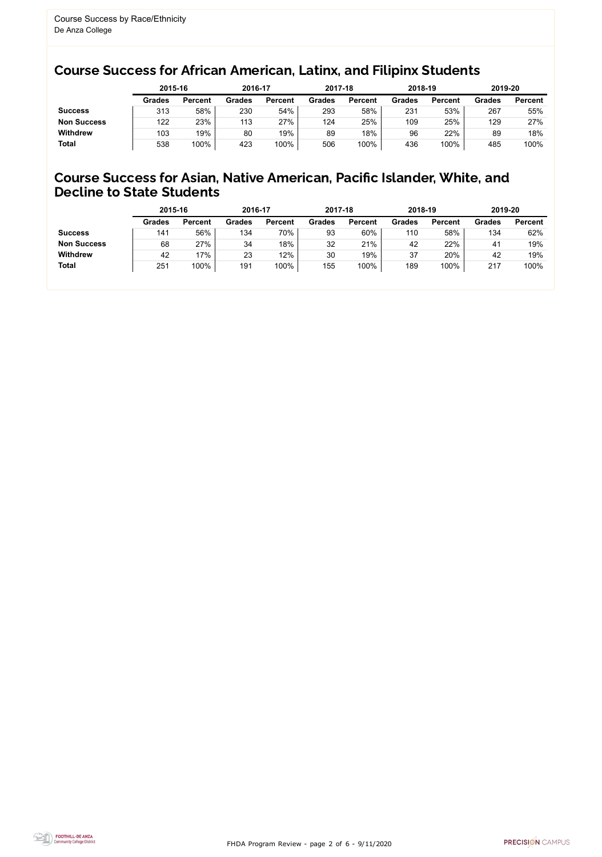FHDA Program Review - page 2 of 6 - 9/11/2020



### Course Success for African American, Latinx, and Filipinx Students

### Course Success for Asian, Native American, Pacific Islander, White, and Decline to State Students

|                    | 2015-16       |                | 2016-17       |                | 2017-18 |                | 2018-19       |                | 2019-20       |                |
|--------------------|---------------|----------------|---------------|----------------|---------|----------------|---------------|----------------|---------------|----------------|
|                    | <b>Grades</b> | <b>Percent</b> | <b>Grades</b> | <b>Percent</b> | Grades  | <b>Percent</b> | <b>Grades</b> | <b>Percent</b> | <b>Grades</b> | <b>Percent</b> |
| <b>Success</b>     | 313           | 58%            | 230           | 54%            | 293     | 58%            | 231           | 53%            | 267           | 55%            |
| <b>Non Success</b> | 122           | 23%            | 113           | 27%            | 124     | 25%            | 109           | 25%            | 129           | 27%            |
| <b>Withdrew</b>    | 103           | 19%            | 80            | 19%            | 89      | 18%            | 96            | 22%            | 89            | 18%            |
| <b>Total</b>       | 538           | 100%           | 423           | 100%           | 506     | 100%           | 436           | 100%           | 485           | 100%           |

|                    | 2015-16       |                | 2016-17       |                | 2017-18       |                | 2018-19       |                | 2019-20       |                |
|--------------------|---------------|----------------|---------------|----------------|---------------|----------------|---------------|----------------|---------------|----------------|
|                    | <b>Grades</b> | <b>Percent</b> | <b>Grades</b> | <b>Percent</b> | <b>Grades</b> | <b>Percent</b> | <b>Grades</b> | <b>Percent</b> | <b>Grades</b> | <b>Percent</b> |
| <b>Success</b>     | 141           | 56%            | 134           | 70%            | 93            | 60%            | 110           | 58%            | 134           | 62%            |
| <b>Non Success</b> | 68            | 27%            | 34            | 18%            | 32            | 21%            | 42            | 22%            | 41            | 19%            |
| <b>Withdrew</b>    | 42            | 17%            | 23            | 12%            | 30            | 19%            | 37            | 20%            | 42            | 19%            |
| <b>Total</b>       | 251           | 100%           | 191           | 100%           | 155           | 100%           | 189           | 100%           | 217           | 100%           |
|                    |               |                |               |                |               |                |               |                |               |                |

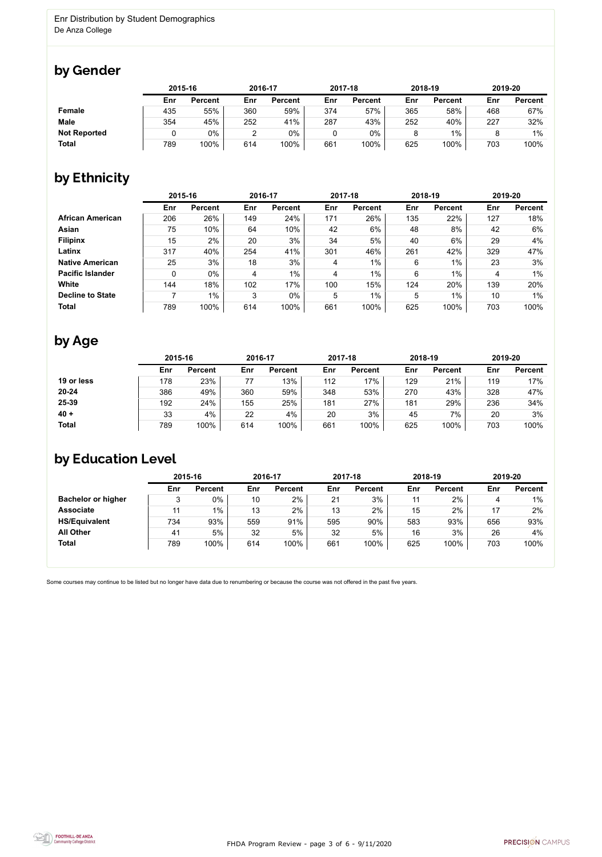

Some courses may continue to be listed but no longer have data due to renumbering or because the course was not offered in the past five years.



### by Gender

|                     |     | 2015-16        |     | 2016-17        |     | 2017-18        | 2018-19 |                | 2019-20 |                |
|---------------------|-----|----------------|-----|----------------|-----|----------------|---------|----------------|---------|----------------|
|                     | Enr | <b>Percent</b> | Enr | <b>Percent</b> | Enr | <b>Percent</b> | Enr     | <b>Percent</b> | Enr     | <b>Percent</b> |
| Female              | 435 | 55%            | 360 | 59%            | 374 | 57%            | 365     | 58%            | 468     | 67%            |
| <b>Male</b>         | 354 | 45%            | 252 | 41%            | 287 | 43%            | 252     | 40%            | 227     | 32%            |
| <b>Not Reported</b> |     | 0%             | າ   | 0%             |     | 0%             | 8       | $1\%$          |         | $1\%$          |
| <b>Total</b>        | 789 | 100%           | 614 | 100%           | 661 | 100%           | 625     | 100%           | 703     | 100%           |

## by Ethnicity

|                         | 2015-16 |                |     | 2016-17        |     | 2017-18        |     | 2018-19        | 2019-20 |                |
|-------------------------|---------|----------------|-----|----------------|-----|----------------|-----|----------------|---------|----------------|
|                         | Enr     | <b>Percent</b> | Enr | <b>Percent</b> | Enr | <b>Percent</b> | Enr | <b>Percent</b> | Enr     | <b>Percent</b> |
| <b>African American</b> | 206     | 26%            | 149 | 24%            | 171 | 26%            | 135 | 22%            | 127     | 18%            |
| <b>Asian</b>            | 75      | 10%            | 64  | 10%            | 42  | 6%             | 48  | 8%             | 42      | 6%             |
| <b>Filipinx</b>         | 15      | 2%             | 20  | 3%             | 34  | 5%             | 40  | 6%             | 29      | 4%             |
| Latinx                  | 317     | 40%            | 254 | 41%            | 301 | 46%            | 261 | 42%            | 329     | 47%            |
| <b>Native American</b>  | 25      | 3%             | 18  | 3%             | 4   | $1\%$          | 6   | 1%             | 23      | 3%             |
| <b>Pacific Islander</b> | 0       | $0\%$          | 4   | $1\%$          | 4   | $1\%$          | 6   | $1\%$          | 4       | $1\%$          |
| <b>White</b>            | 144     | 18%            | 102 | 17%            | 100 | 15%            | 124 | 20%            | 139     | 20%            |
| <b>Decline to State</b> |         | $1\%$          | 3   | $0\%$          | 5   | $1\%$          | 5   | $1\%$          | 10      | $1\%$          |
| <b>Total</b>            | 789     | 100%           | 614 | 100%           | 661 | 100%           | 625 | 100%           | 703     | 100%           |

### by Age

|              | 2015-16 |                |     | 2016-17        |     | 2017-18        | 2018-19 |                | 2019-20 |                |
|--------------|---------|----------------|-----|----------------|-----|----------------|---------|----------------|---------|----------------|
|              | Enr     | <b>Percent</b> | Enr | <b>Percent</b> | Enr | <b>Percent</b> | Enr     | <b>Percent</b> | Enr     | <b>Percent</b> |
| 19 or less   | 178     | 23%            | 77  | 13%            | 112 | 17%            | 129     | 21%            | 119     | 17%            |
| $20 - 24$    | 386     | 49%            | 360 | 59%            | 348 | 53%            | 270     | 43%            | 328     | 47%            |
| 25-39        | 192     | 24%            | 155 | 25%            | 181 | 27%            | 181     | 29%            | 236     | 34%            |
| $40 +$       | 33      | 4%             | 22  | 4%             | 20  | 3%             | 45      | 7%             | 20      | 3%             |
| <b>Total</b> | 789     | 100%           | 614 | 100%           | 661 | 100%           | 625     | 100%           | 703     | 100%           |

## by Education Level

|                           | 2015-16 |                |     | 2016-17        |     | 2017-18        |     | 2018-19        | 2019-20 |                |
|---------------------------|---------|----------------|-----|----------------|-----|----------------|-----|----------------|---------|----------------|
|                           | Enr     | <b>Percent</b> | Enr | <b>Percent</b> | Enr | <b>Percent</b> | Enr | <b>Percent</b> | Enr     | <b>Percent</b> |
| <b>Bachelor or higher</b> | 3       | 0%             | 10  | 2%             | 21  | 3%             | 11  | 2%             | 4       | $1\%$          |
| <b>Associate</b>          | 11      | $1\%$          | 13  | 2%             | 13  | 2%             | 15  | 2%             |         | 2%             |
| <b>HS/Equivalent</b>      | 734     | 93%            | 559 | 91%            | 595 | 90%            | 583 | 93%            | 656     | 93%            |
| <b>All Other</b>          | 41      | 5%             | 32  | 5%             | 32  | 5%             | 16  | 3%             | 26      | 4%             |
| <b>Total</b>              | 789     | 100%           | 614 | 100%           | 661 | 100%           | 625 | 100%           | 703     | 100%           |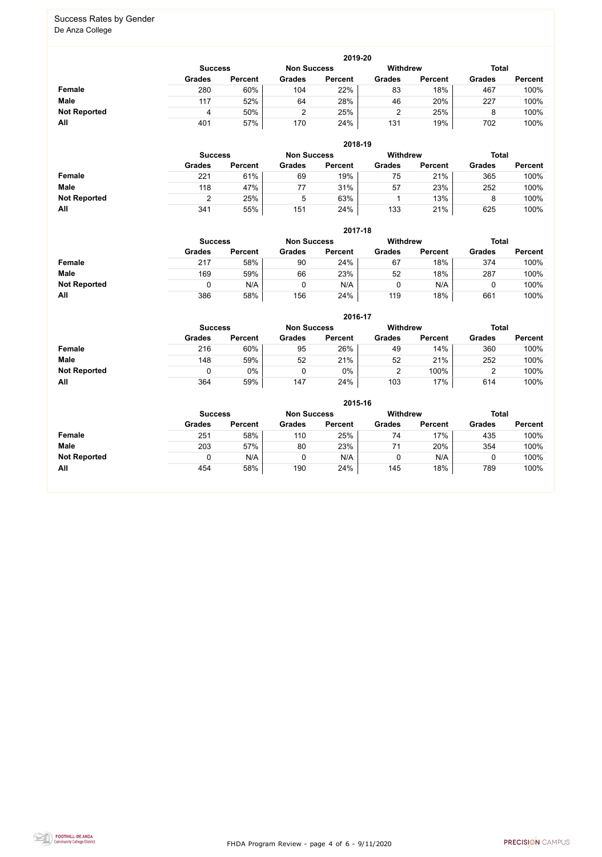FHDA Program Review - page 4 of 6 - 9/11/2020



#### Success Rates by Gender De Anza College

|                     |               | 2019-20                              |               |                |               |                 |               |                |  |  |  |  |  |  |
|---------------------|---------------|--------------------------------------|---------------|----------------|---------------|-----------------|---------------|----------------|--|--|--|--|--|--|
|                     |               | <b>Non Success</b><br><b>Success</b> |               |                |               | <b>Withdrew</b> | <b>Total</b>  |                |  |  |  |  |  |  |
|                     | <b>Grades</b> | <b>Percent</b>                       | <b>Grades</b> | <b>Percent</b> | <b>Grades</b> | <b>Percent</b>  | <b>Grades</b> | <b>Percent</b> |  |  |  |  |  |  |
| <b>Female</b>       | 280           | 60%                                  | 104           | 22%            | 83            | 18%             | 467           | 100%           |  |  |  |  |  |  |
| <b>Male</b>         | 117           | 52%                                  | 64            | 28%            | 46            | 20%             | 227           | 100%           |  |  |  |  |  |  |
| <b>Not Reported</b> | 4             | 50%                                  |               | 25%            |               | 25%             | 8             | 100%           |  |  |  |  |  |  |
| All                 | 401           | 57%                                  | 170           | 24%            | 131           | 19%             | 702           | 100%           |  |  |  |  |  |  |

|                     |                | 2018-19        |                    |                |                 |                |               |                |  |  |  |  |  |  |
|---------------------|----------------|----------------|--------------------|----------------|-----------------|----------------|---------------|----------------|--|--|--|--|--|--|
|                     | <b>Success</b> |                | <b>Non Success</b> |                | <b>Withdrew</b> |                |               | <b>Total</b>   |  |  |  |  |  |  |
|                     | <b>Grades</b>  | <b>Percent</b> | <b>Grades</b>      | <b>Percent</b> | <b>Grades</b>   | <b>Percent</b> | <b>Grades</b> | <b>Percent</b> |  |  |  |  |  |  |
| <b>Female</b>       | 221            | 61%            | 69                 | 19%            | 75              | 21%            | 365           | 100%           |  |  |  |  |  |  |
| <b>Male</b>         | 118            | 47%            | 77                 | 31%            | 57              | 23%            | 252           | 100%           |  |  |  |  |  |  |
| <b>Not Reported</b> |                | 25%            | 5                  | 63%            |                 | 13%            |               | 100%           |  |  |  |  |  |  |
| All                 | 341            | 55%            | 151                | 24%            | 133             | 21%            | 625           | 100%           |  |  |  |  |  |  |

|                     |                | 2017-18        |                    |                |                 |                |               |                |  |  |  |  |  |  |
|---------------------|----------------|----------------|--------------------|----------------|-----------------|----------------|---------------|----------------|--|--|--|--|--|--|
|                     | <b>Success</b> |                | <b>Non Success</b> |                | <b>Withdrew</b> |                | <b>Total</b>  |                |  |  |  |  |  |  |
|                     | <b>Grades</b>  | <b>Percent</b> | <b>Grades</b>      | <b>Percent</b> | <b>Grades</b>   | <b>Percent</b> | <b>Grades</b> | <b>Percent</b> |  |  |  |  |  |  |
| Female              | 217            | 58%            | 90                 | 24%            | 67              | 18%            | 374           | 100%           |  |  |  |  |  |  |
| <b>Male</b>         | 169            | 59%            | 66                 | 23%            | 52              | 18%            | 287           | 100%           |  |  |  |  |  |  |
| <b>Not Reported</b> | 0              | N/A            |                    | N/A            | 0               | N/A            | U             | 100%           |  |  |  |  |  |  |
| All                 | 386            | 58%            | 156                | 24%            | 119             | 18%            | 661           | 100%           |  |  |  |  |  |  |

|                     |               |                                                                         |               | 2016-17        |               |                |               |                |  |  |
|---------------------|---------------|-------------------------------------------------------------------------|---------------|----------------|---------------|----------------|---------------|----------------|--|--|
|                     |               | <b>Withdrew</b><br><b>Non Success</b><br><b>Total</b><br><b>Success</b> |               |                |               |                |               |                |  |  |
|                     | <b>Grades</b> | <b>Percent</b>                                                          | <b>Grades</b> | <b>Percent</b> | <b>Grades</b> | <b>Percent</b> | <b>Grades</b> | <b>Percent</b> |  |  |
| Female              | 216           | 60%                                                                     | 95            | 26%            | 49            | 14%            | 360           | 100%           |  |  |
| <b>Male</b>         | 148           | 59%                                                                     | 52            | 21%            | 52            | 21%            | 252           | 100%           |  |  |
| <b>Not Reported</b> | 0             | $0\%$                                                                   |               | 0%             |               | 100%           |               | 100%           |  |  |
| All                 | 364           | 59%                                                                     | 147           | 24%            | 103           | 17%            | 614           | 100%           |  |  |

|                     |               |                                                                         |               | 2015-16        |               |                |               |                |  |  |
|---------------------|---------------|-------------------------------------------------------------------------|---------------|----------------|---------------|----------------|---------------|----------------|--|--|
|                     |               | <b>Withdrew</b><br><b>Total</b><br><b>Non Success</b><br><b>Success</b> |               |                |               |                |               |                |  |  |
|                     | <b>Grades</b> | <b>Percent</b>                                                          | <b>Grades</b> | <b>Percent</b> | <b>Grades</b> | <b>Percent</b> | <b>Grades</b> | <b>Percent</b> |  |  |
| <b>Female</b>       | 251           | 58%                                                                     | 110           | 25%            | 74            | 17%            | 435           | 100%           |  |  |
| <b>Male</b>         | 203           | 57%                                                                     | 80            | 23%            | 71            | 20%            | 354           | 100%           |  |  |
| <b>Not Reported</b> |               | N/A                                                                     | 0             | N/A            | 0             | N/A            |               | 100%           |  |  |
| All                 | 454           | 58%                                                                     | 190           | 24%            | 145           | 18%            | 789           | 100%           |  |  |

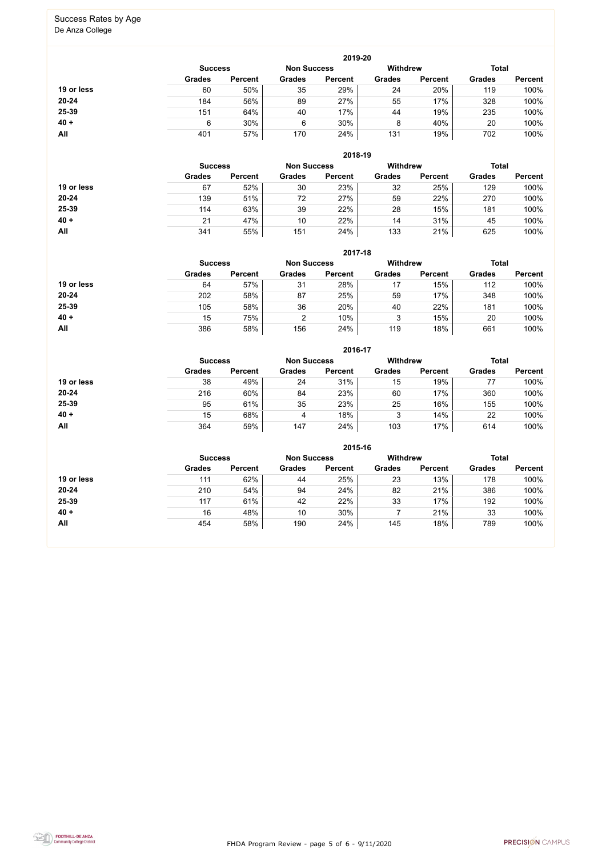FHDA Program Review - page 5 of 6 - 9/11/2020



# Success Rates by Age

De Anza College

|            |                                      |                |               | 2019-20        |                 |                |               |                |
|------------|--------------------------------------|----------------|---------------|----------------|-----------------|----------------|---------------|----------------|
|            | <b>Non Success</b><br><b>Success</b> |                |               |                | <b>Withdrew</b> |                | <b>Total</b>  |                |
|            | <b>Grades</b>                        | <b>Percent</b> | <b>Grades</b> | <b>Percent</b> | <b>Grades</b>   | <b>Percent</b> | <b>Grades</b> | <b>Percent</b> |
| 19 or less | 60                                   | 50%            | 35            | 29%            | 24              | 20%            | 119           | 100%           |
| $20 - 24$  | 184                                  | 56%            | 89            | 27%            | 55              | 17%            | 328           | 100%           |
| 25-39      | 151                                  | 64%            | 40            | 17%            | 44              | 19%            | 235           | 100%           |
| $40 +$     | 6                                    | 30%            | 6             | 30%            | 8               | 40%            | 20            | 100%           |
| <b>All</b> | 401                                  | 57%            | 170           | 24%            | 131             | 19%            | 702           | 100%           |

| 2018-19 |  |
|---------|--|
|---------|--|

|            | <b>Success</b> |                |                 | <b>Non Success</b> |               | <b>Withdrew</b> | <b>Total</b>  |                |
|------------|----------------|----------------|-----------------|--------------------|---------------|-----------------|---------------|----------------|
|            | <b>Grades</b>  | <b>Percent</b> | <b>Grades</b>   | <b>Percent</b>     | <b>Grades</b> | <b>Percent</b>  | <b>Grades</b> | <b>Percent</b> |
| 19 or less | 67             | 52%            | 30              | 23%                | 32            | 25%             | 129           | 100%           |
| $20 - 24$  | 139            | 51%            | 72              | 27%                | 59            | 22%             | 270           | 100%           |
| 25-39      | 114            | 63%            | 39              | 22%                | 28            | 15%             | 181           | 100%           |
| $40 +$     | 21             | 47%            | 10              | 22%                | 14            | 31%             | 45            | 100%           |
| All        | 341            | 55%            | 15 <sup>′</sup> | 24%                | 133           | 21%             | 625           | 100%           |

|            |                                                                         |                |               | 2017-18        |               |                |               |                |  |  |
|------------|-------------------------------------------------------------------------|----------------|---------------|----------------|---------------|----------------|---------------|----------------|--|--|
|            | <b>Withdrew</b><br><b>Total</b><br><b>Non Success</b><br><b>Success</b> |                |               |                |               |                |               |                |  |  |
|            | <b>Grades</b>                                                           | <b>Percent</b> | <b>Grades</b> | <b>Percent</b> | <b>Grades</b> | <b>Percent</b> | <b>Grades</b> | <b>Percent</b> |  |  |
| 19 or less | 64                                                                      | 57%            | 31            | 28%            | 17            | 15%            | 112           | 100%           |  |  |
| $20 - 24$  | 202                                                                     | 58%            | 87            | 25%            | 59            | 17%            | 348           | 100%           |  |  |
| 25-39      | 105                                                                     | 58%            | 36            | 20%            | 40            | 22%            | 181           | 100%           |  |  |
| $40 +$     | 15                                                                      | 75%            | 2             | 10%            | 3             | 15%            | 20            | 100%           |  |  |
| All        | 386                                                                     | 58%            | 156           | 24%            | 119           | 18%            | 661           | 100%           |  |  |

|            |                                                                         |                |               | 2016-17        |               |                |               |                |
|------------|-------------------------------------------------------------------------|----------------|---------------|----------------|---------------|----------------|---------------|----------------|
|            | <b>Withdrew</b><br><b>Total</b><br><b>Non Success</b><br><b>Success</b> |                |               |                |               |                |               |                |
|            | <b>Grades</b>                                                           | <b>Percent</b> | <b>Grades</b> | <b>Percent</b> | <b>Grades</b> | <b>Percent</b> | <b>Grades</b> | <b>Percent</b> |
| 19 or less | 38                                                                      | 49%            | 24            | 31%            | 15            | 19%            | 77            | 100%           |
| $20 - 24$  | 216                                                                     | 60%            | 84            | 23%            | 60            | 17%            | 360           | 100%           |
| 25-39      | 95                                                                      | 61%            | 35            | 23%            | 25            | 16%            | 155           | 100%           |
| $40 +$     | 15                                                                      | 68%            | 4             | 18%            | 3             | 14%            | 22            | 100%           |
| <b>All</b> | 364                                                                     | 59%            | 147           | 24%            | 103           | 17%            | 614           | 100%           |

|            |                                                         |                |               | 2015-16        |               |                |               |                |
|------------|---------------------------------------------------------|----------------|---------------|----------------|---------------|----------------|---------------|----------------|
|            | <b>Withdrew</b><br><b>Non Success</b><br><b>Success</b> |                |               |                |               |                |               |                |
|            | <b>Grades</b>                                           | <b>Percent</b> | <b>Grades</b> | <b>Percent</b> | <b>Grades</b> | <b>Percent</b> | <b>Grades</b> | <b>Percent</b> |
| 19 or less | 111                                                     | 62%            | 44            | 25%            | 23            | 13%            | 178           | 100%           |
| $20 - 24$  | 210                                                     | 54%            | 94            | 24%            | 82            | 21%            | 386           | 100%           |
| 25-39      | 117                                                     | 61%            | 42            | 22%            | 33            | 17%            | 192           | 100%           |
| $40 +$     | 16                                                      | 48%            | 10            | 30%            |               | 21%            | 33            | 100%           |
| All        | 454                                                     | 58%            | 190           | 24%            | 145           | 18%            | 789           | 100%           |